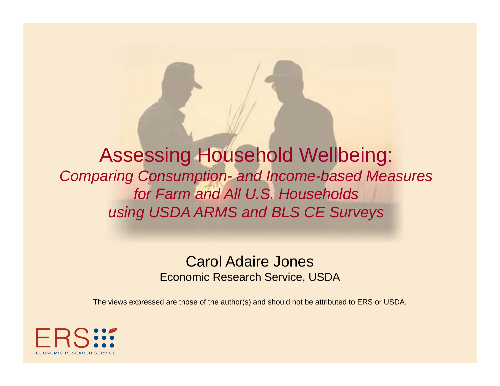Assessing Household Wellbeing: *Comparing Consumption - and Income -based Measures for Farm and All U.S. Households using USDA ARMS and BLS CE Surveys USDA ARMS CE*

### Carol Adaire Jones Economic Research Service, USDA

The views expressed are those of the author(s) and should not be attributed to ERS or USDA.

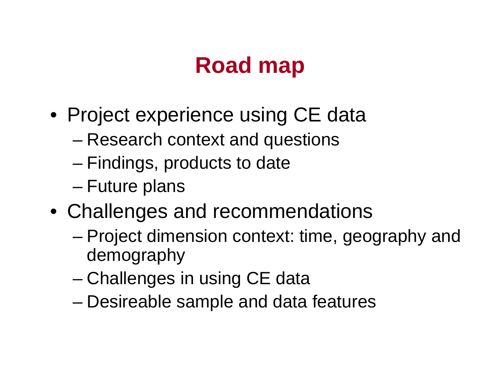## **Road map**

- $\bullet\,$  Project experience using CE data
	- –Research context and questions
	- –– Findings, products to date
	- Future plans
- Challenges and recommendations
	- – Project dimension context: time, geography and demography
	- Challenges in using CE data
	- –Desireable sample and data features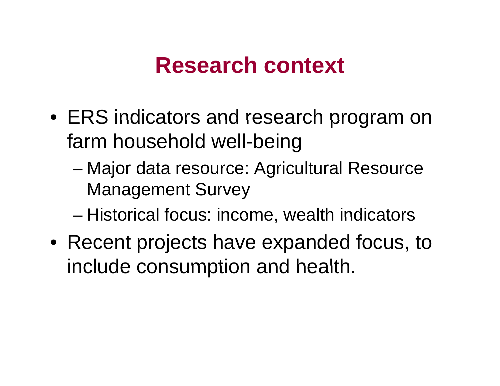## **Research context**

- ERS indicators and research program on farm household well-being
	- –– Major data resource: Agricultural Resource Management Survey
	- –– Historical focus: income, wealth indicators
- Recent projects have expanded focus, to include consumption and health.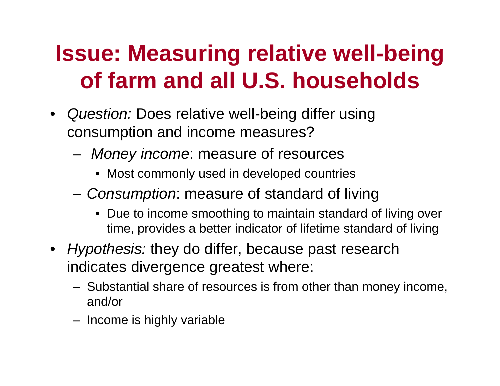# **Issue: Measuring relative well-being of farm and all U.S. households**

- $\bullet$ Q*uestion:* Does relative well-being differ using consumption and income measures?
	- – *Money income*: measure of resources
		- Most commonly used in developed countries
	- *Consumption*: measure of standard of living
		- $\bullet~$  Due to income smoothing to maintain standard of living over time, provides a better indicator of lifetime standard of living
- *Hypothesis:* they do differ, because past research indicates divergence greatest where:
	- Substantial share of resources is from other than money income, and/or
	- Income is highly variable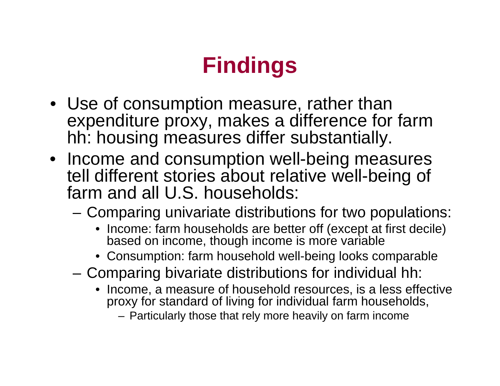# **Findings**

- Use of consumption measure, rather than expenditure proxy, makes a difference for farm hh: housing measures differ substantially.
- Income and consumption well-bein g measures tell different stories about relative well-being of farm and all U.S. households:
	- $-$  Comparing univariate distributions for two populations:
		- Income: farm households are better off (except at first decile) based on income, though income is more variable
		- Consumption: farm household well-being looks comparable
	- Comparing bivariate distributions for individual hh:
		- Income, a measure of household resources, is a less effective proxy for standard of living for individual farm households,
			- Particularly those that rely more heavily on farm income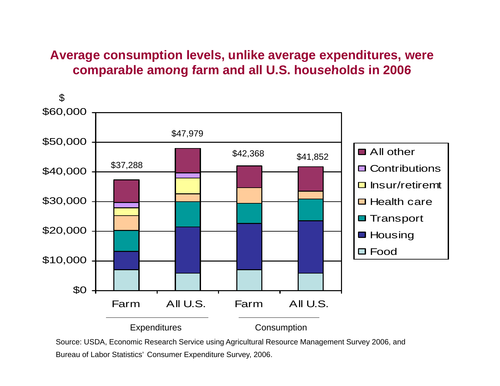### **Average consumption levels, unlike average expenditures, were comparable among farm and all U S households in 2006 U.S.**



Source: USDA, Economic Research Service using Agricultural Resource Management Survey 2006, and Bureau of Labor Statistics' Consumer Expenditure Survey, 2006.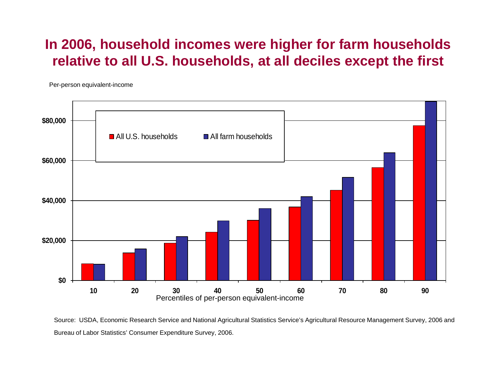### **In 2006, household incomes were higher for farm households relative to all U.S. households, at all deciles except the first**

Per-person equivalent-income



Source: USDA, Economic Research Service and National Agricultural Statistics Service's Agricultural Resource Management Survey, 2006 and Bureau of Labor Statistics' Consumer Expenditure Survey, 2006.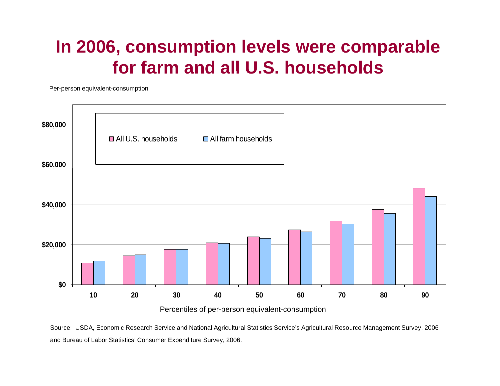### **In 2006, consumption levels were comparable for farm and all U S households U.S.**

Per-person equivalent-consumption



Source: USDA, Economic Research Service and National Agricultural Statistics Service's Agricultural Resource Management Survey, 2006 and Bureau of Labor Statistics' Consumer Expenditure Survey, 2006.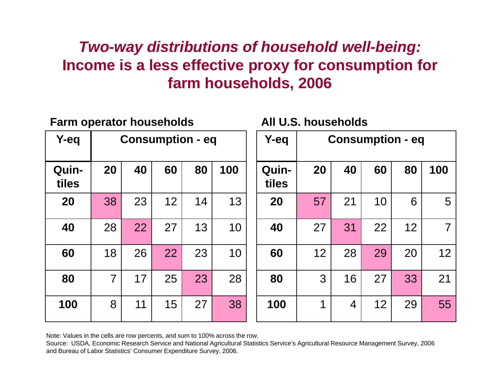### *Two-way distributions of household well-being:*  **lncome is a less effective proxy for consumption for farm households, 2006**

| <b>Farm operator households</b> |                         |    |    |    |     | All U.S. households |    |                         |    |    |     |  |
|---------------------------------|-------------------------|----|----|----|-----|---------------------|----|-------------------------|----|----|-----|--|
| Y-eq                            | <b>Consumption - eq</b> |    |    |    |     | Y-eq                |    | <b>Consumption - eq</b> |    |    |     |  |
| Quin-<br>tiles                  | 20                      | 40 | 60 | 80 | 100 | Quin-<br>tiles      | 20 | 40                      | 60 | 80 | 100 |  |
| 20                              | 38                      | 23 | 12 | 14 | 13  | 20                  | 57 | 21                      | 10 | 6  | 5   |  |
| 40                              | 28                      | 22 | 27 | 13 | 10  | 40                  | 27 | 31                      | 22 | 12 | 7   |  |
| 60                              | 18                      | 26 | 22 | 23 | 10  | 60                  | 12 | 28                      | 29 | 20 | 12  |  |
| 80                              | $\overline{7}$          | 17 | 25 | 23 | 28  | 80                  | 3  | 16                      | 27 | 33 | 21  |  |
| 100                             | 8                       | 11 | 15 | 27 | 38  | 100                 | 1  | $\overline{4}$          | 12 | 29 | 55  |  |

Note: Values in the cells are row percents, and sum to 100% across the row.

Source: USDA, Economic Research Service and National Agricultural Statistics Service's Agricultural Resource Management Survey, 2006 and Bureau of Labor Statistics' Consumer Expenditure Survey, 2006.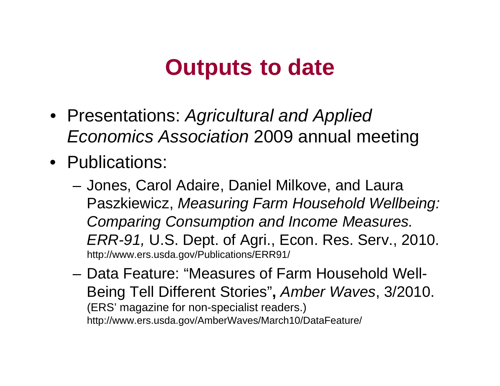## **Outputs to date**

- Presentations: *Agricultural and Applied Economics Association* 2009 annual meeting
- Publications:
	- Jones, Carol Adaire, Daniel Milkove, and Laura Paszkiewicz, *Measuring Farm Household Wellbeing: C i C ti d I M Comparing Consumption and Income Measures. ERR-91,* U.S. Dept. of Agri., Econ. Res. Serv., 2010. http://www.ers.usda.gov/Publications/ERR91/
	- Data Feature: "Measures of Farm Household Well-Being Tell Different Stories"**,** *Amber Waves*, 3/2010. (ERS' magazine for non-specialist readers.) http://www.ers.usda.gov/AmberWaves/March10/DataFeature/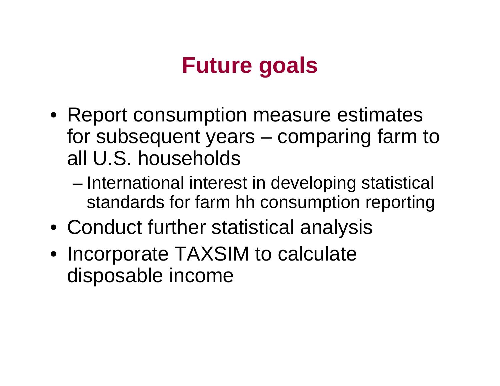## **Future goals**

- $\bullet\,$  Report consumption measure estimates for subsequent years – comparing farm to all U.S. households
	- – International interest in developing statistical standards for farm hh consumption reporting
- Conduct further statistical analysis
- Incorporate TAXSIM to calculate disposable income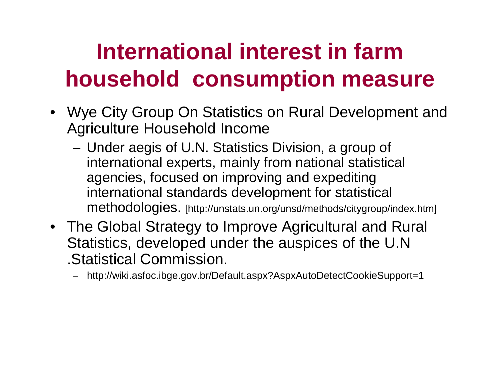# **International interest in farm household consumption measure**

- Wye City Group On Statistics on Rural Development and Agriculture Household Income
	- – Under aegis of U.N. Statistics Division, a group of international experts, mainly from national statistical agencies, focused on improving and expediting international standards development for statistical methodologies. [http://unstats.un.org/unsd/methods/citygroup/index.htm]
- The Global Strategy to Improve Agricultural and Rural Statistics, developed under the auspices of the U.N .Statistical Commission.
	- http://wiki.asfoc.ibge.gov.br/Default.aspx?AspxAutoDetectCookieSupport=1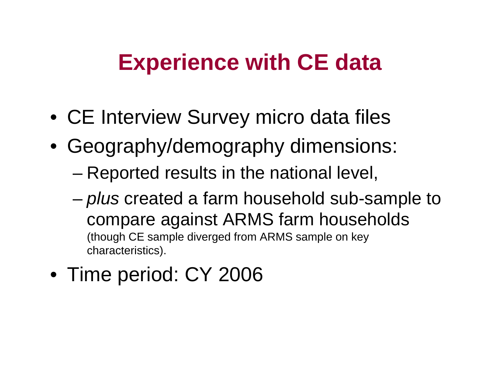## **Experience with CE data**

- CE Interview Survey micro data files
- Geography/demography dimensions:
	- – $-$  Reported results in the national level,
	- – *plus* created a farm household sub-sample to compare against ARMS farm households (though CE sample diverged from ARMS sample on key characteristics).
- Time period: CY 2006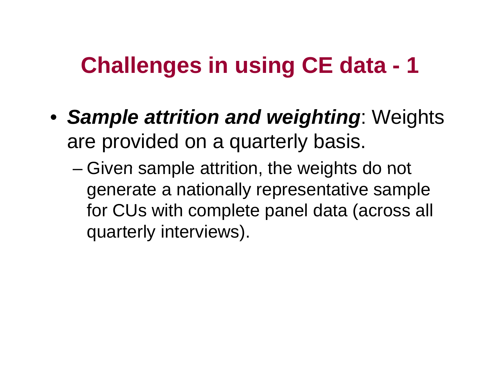#### **Challenges in using CE data CE -1**

- *Sample attrition and weighting* : Weights are provided on a quarterly basis.
	- –– Given sample attrition, the weights do not generate a nationally representative sample for CUs with complete panel data (across all quarterly interviews).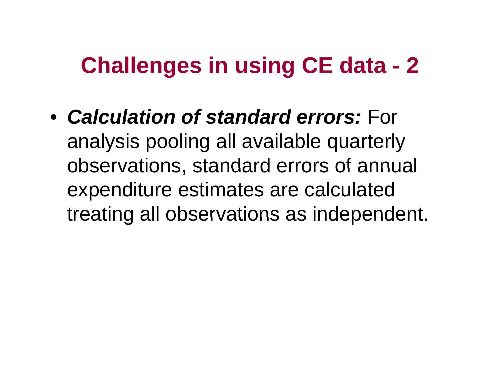#### **Challenges in using CE data CE -2**

• *Calculation of standard errors:* For analysis pooling all available quarterly observations, standard errors of annual expenditure estimates are calculated treating all observations as independent.